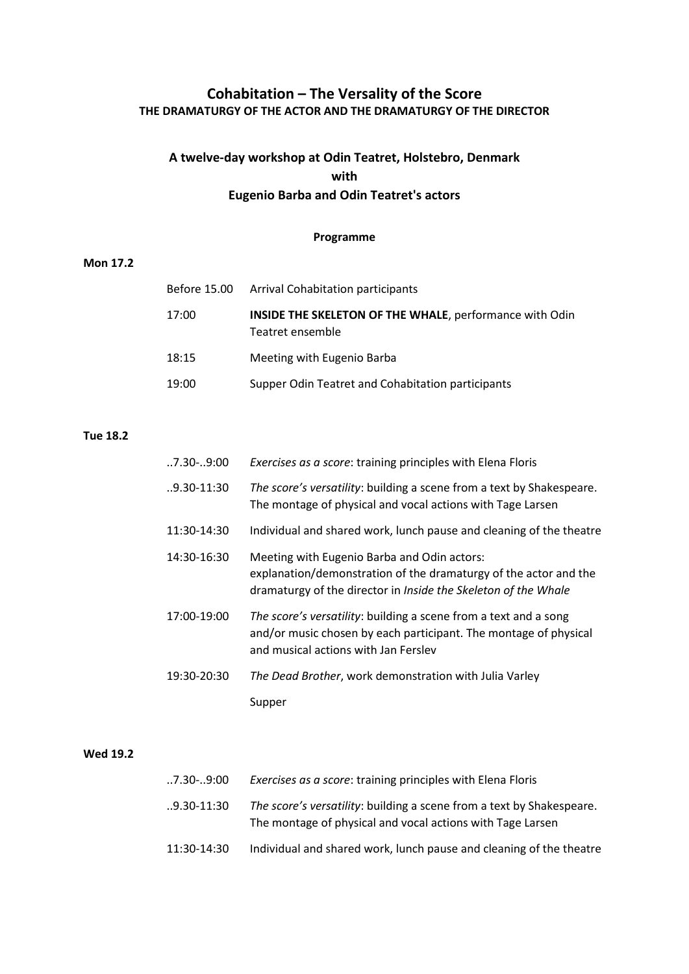## **Cohabitation – The Versality of the Score THE DRAMATURGY OF THE ACTOR AND THE DRAMATURGY OF THE DIRECTOR**

# **A twelve-day workshop at Odin Teatret, Holstebro, Denmark with Eugenio Barba and Odin Teatret's actors**

#### **Programme**

### **Mon 17.2**

| Before 15.00 | Arrival Cohabitation participants                                                  |
|--------------|------------------------------------------------------------------------------------|
| 17:00        | <b>INSIDE THE SKELETON OF THE WHALE, performance with Odin</b><br>Teatret ensemble |
| 18:15        | Meeting with Eugenio Barba                                                         |
| 19:00        | Supper Odin Teatret and Cohabitation participants                                  |

#### **Tue 18.2**

| $.7.30-.9:00$   | Exercises as a score: training principles with Elena Floris                                                                                                                       |
|-----------------|-----------------------------------------------------------------------------------------------------------------------------------------------------------------------------------|
| $.9.30 - 11.30$ | The score's versatility: building a scene from a text by Shakespeare.<br>The montage of physical and vocal actions with Tage Larsen                                               |
| 11:30-14:30     | Individual and shared work, lunch pause and cleaning of the theatre                                                                                                               |
| 14:30-16:30     | Meeting with Eugenio Barba and Odin actors:<br>explanation/demonstration of the dramaturgy of the actor and the<br>dramaturgy of the director in Inside the Skeleton of the Whale |
| 17:00-19:00     | The score's versatility: building a scene from a text and a song<br>and/or music chosen by each participant. The montage of physical<br>and musical actions with Jan Fersley      |
| 19:30-20:30     | The Dead Brother, work demonstration with Julia Varley                                                                                                                            |
|                 | Supper                                                                                                                                                                            |

#### **Wed 19.2**

| 7.30-9:00   | <i>Exercises as a score:</i> training principles with Elena Floris                                                                  |
|-------------|-------------------------------------------------------------------------------------------------------------------------------------|
| 9.30-11:30  | The score's versatility: building a scene from a text by Shakespeare.<br>The montage of physical and vocal actions with Tage Larsen |
| 11:30-14:30 | Individual and shared work, lunch pause and cleaning of the theatre                                                                 |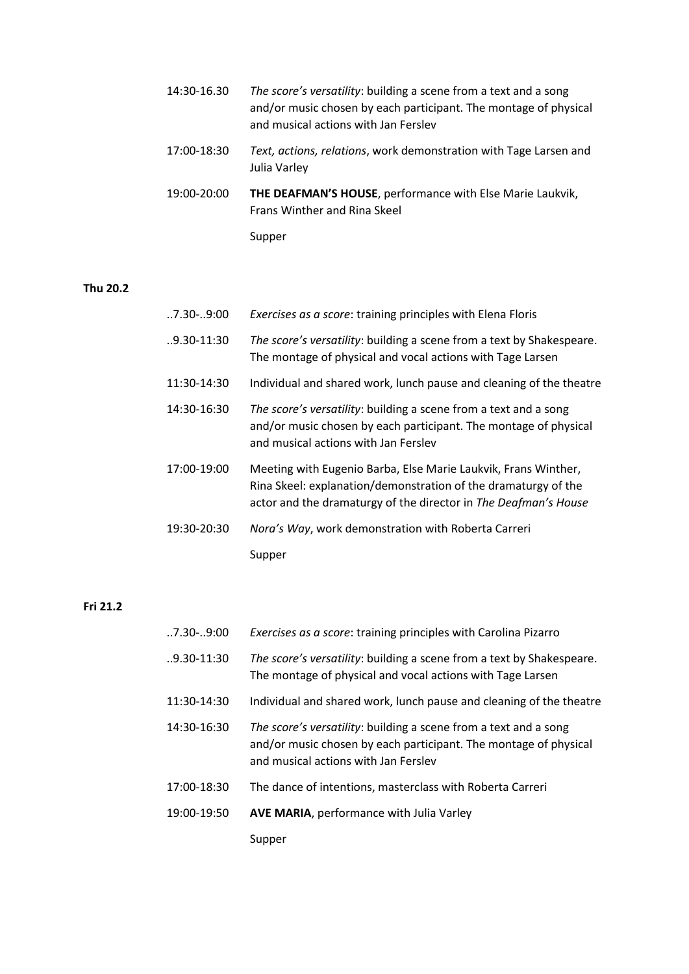| 14:30-16.30 | The score's versatility: building a scene from a text and a song                  |
|-------------|-----------------------------------------------------------------------------------|
|             | and/or music chosen by each participant. The montage of physical                  |
|             | and musical actions with Jan Ferslev                                              |
| 17:00-18:30 | Text, actions, relations, work demonstration with Tage Larsen and<br>Julia Varley |

- 19:00-20:00 **THE DEAFMAN'S HOUSE**, performance with Else Marie Laukvik, Frans Winther and Rina Skeel
	- Supper

## **Thu 20.2**

| $.7.30-.9:00$   | Exercises as a score: training principles with Elena Floris                                                                                                                                         |
|-----------------|-----------------------------------------------------------------------------------------------------------------------------------------------------------------------------------------------------|
| $.9.30 - 11.30$ | The score's versatility: building a scene from a text by Shakespeare.<br>The montage of physical and vocal actions with Tage Larsen                                                                 |
| 11:30-14:30     | Individual and shared work, lunch pause and cleaning of the theatre                                                                                                                                 |
| 14:30-16:30     | The score's versatility: building a scene from a text and a song<br>and/or music chosen by each participant. The montage of physical<br>and musical actions with Jan Fersley                        |
| 17:00-19:00     | Meeting with Eugenio Barba, Else Marie Laukvik, Frans Winther,<br>Rina Skeel: explanation/demonstration of the dramaturgy of the<br>actor and the dramaturgy of the director in The Deafman's House |
| 19:30-20:30     | Nora's Way, work demonstration with Roberta Carreri                                                                                                                                                 |
|                 | Supper                                                                                                                                                                                              |

## **Fri 21.2**

| $.7.30-.9:00$   | Exercises as a score: training principles with Carolina Pizarro                                                                                                              |
|-----------------|------------------------------------------------------------------------------------------------------------------------------------------------------------------------------|
| $.9.30 - 11:30$ | The score's versatility: building a scene from a text by Shakespeare.<br>The montage of physical and vocal actions with Tage Larsen                                          |
| 11:30-14:30     | Individual and shared work, lunch pause and cleaning of the theatre                                                                                                          |
| 14:30-16:30     | The score's versatility: building a scene from a text and a song<br>and/or music chosen by each participant. The montage of physical<br>and musical actions with Jan Fersley |
| 17:00-18:30     | The dance of intentions, masterclass with Roberta Carreri                                                                                                                    |
| 19:00-19:50     | AVE MARIA, performance with Julia Varley                                                                                                                                     |
|                 | Supper                                                                                                                                                                       |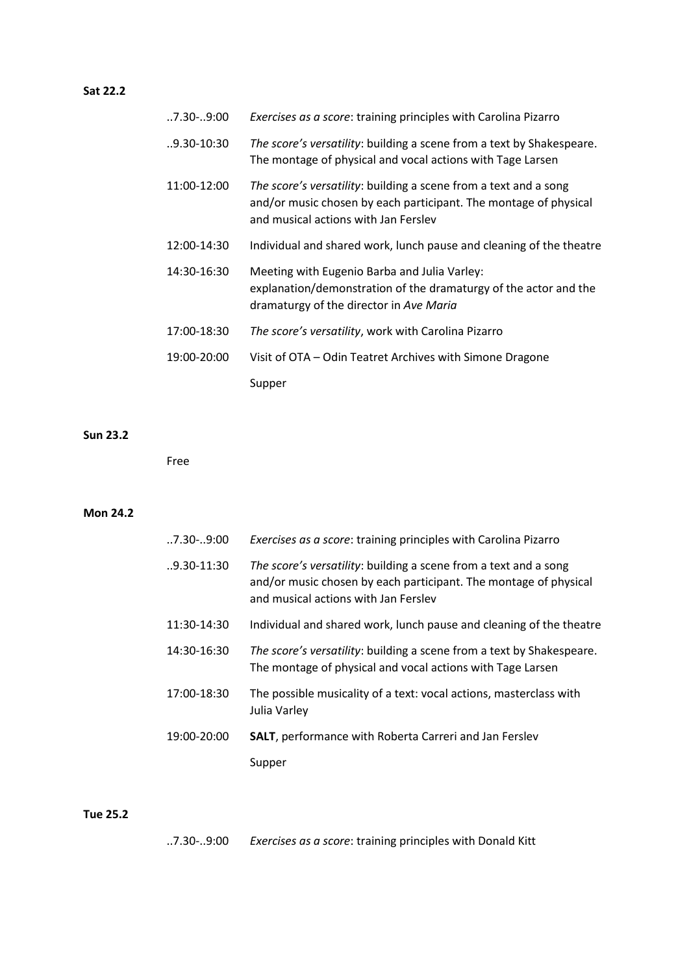## **Sat 22.2**

| $.7.30-.9:00$ | Exercises as a score: training principles with Carolina Pizarro                                                                                                              |
|---------------|------------------------------------------------------------------------------------------------------------------------------------------------------------------------------|
| 9.30-10:30    | The score's versatility: building a scene from a text by Shakespeare.<br>The montage of physical and vocal actions with Tage Larsen                                          |
| 11:00-12:00   | The score's versatility: building a scene from a text and a song<br>and/or music chosen by each participant. The montage of physical<br>and musical actions with Jan Ferslev |
| 12:00-14:30   | Individual and shared work, lunch pause and cleaning of the theatre                                                                                                          |
| 14:30-16:30   | Meeting with Eugenio Barba and Julia Varley:<br>explanation/demonstration of the dramaturgy of the actor and the<br>dramaturgy of the director in Ave Maria                  |
| 17:00-18:30   | The score's versatility, work with Carolina Pizarro                                                                                                                          |
| 19:00-20:00   | Visit of OTA - Odin Teatret Archives with Simone Dragone                                                                                                                     |
|               | Supper                                                                                                                                                                       |

#### **Sun 23.2**

Free

## **Mon 24.2**

| $0.7.30 - 0.900$ | Exercises as a score: training principles with Carolina Pizarro                                                                                                              |
|------------------|------------------------------------------------------------------------------------------------------------------------------------------------------------------------------|
| $.9.30 - 11:30$  | The score's versatility: building a scene from a text and a song<br>and/or music chosen by each participant. The montage of physical<br>and musical actions with Jan Fersley |
| 11:30-14:30      | Individual and shared work, lunch pause and cleaning of the theatre                                                                                                          |
| 14:30-16:30      | The score's versatility: building a scene from a text by Shakespeare.<br>The montage of physical and vocal actions with Tage Larsen                                          |
| 17:00-18:30      | The possible musicality of a text: vocal actions, masterclass with<br>Julia Varley                                                                                           |
| 19:00-20:00      | <b>SALT</b> , performance with Roberta Carreri and Jan Ferslev                                                                                                               |
|                  | Supper                                                                                                                                                                       |

#### **Tue 25.2**

..7.30-..9:00 *Exercises as a score*: training principles with Donald Kitt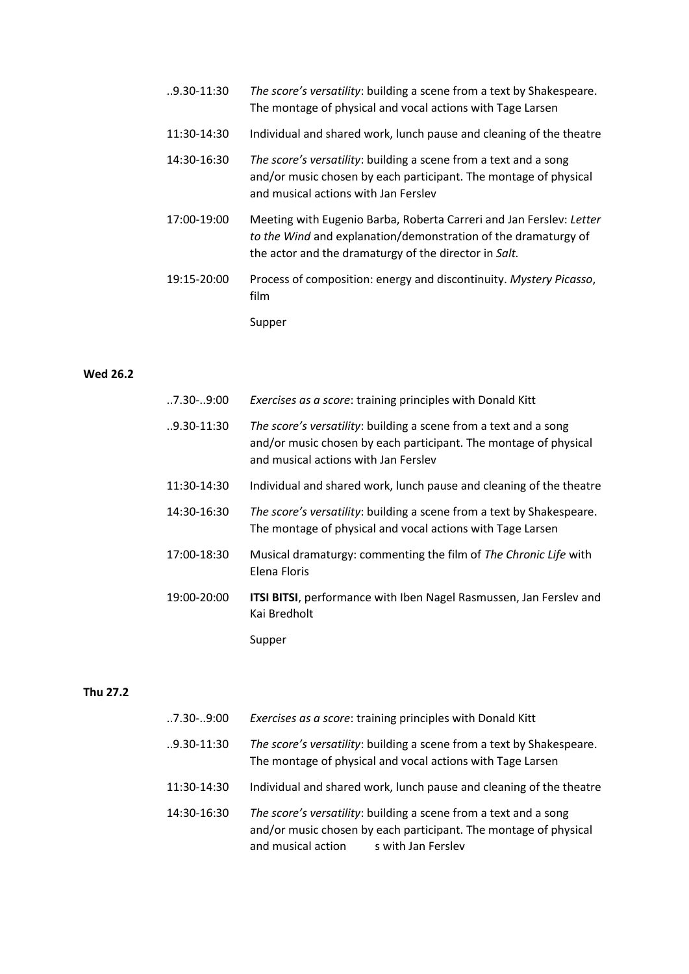| $.9.30 - 11:30$ | The score's versatility: building a scene from a text by Shakespeare.<br>The montage of physical and vocal actions with Tage Larsen                                                            |
|-----------------|------------------------------------------------------------------------------------------------------------------------------------------------------------------------------------------------|
| 11:30-14:30     | Individual and shared work, lunch pause and cleaning of the theatre                                                                                                                            |
| 14:30-16:30     | The score's versatility: building a scene from a text and a song<br>and/or music chosen by each participant. The montage of physical<br>and musical actions with Jan Ferslev                   |
| 17:00-19:00     | Meeting with Eugenio Barba, Roberta Carreri and Jan Ferslev: Letter<br>to the Wind and explanation/demonstration of the dramaturgy of<br>the actor and the dramaturgy of the director in Salt. |
| 19:15-20:00     | Process of composition: energy and discontinuity. Mystery Picasso,<br>film                                                                                                                     |
|                 | Supper                                                                                                                                                                                         |

#### **Wed 26.2**

| $.7.30-.9:00$   | Exercises as a score: training principles with Donald Kitt                                                                                                                   |
|-----------------|------------------------------------------------------------------------------------------------------------------------------------------------------------------------------|
| $.9.30 - 11:30$ | The score's versatility: building a scene from a text and a song<br>and/or music chosen by each participant. The montage of physical<br>and musical actions with Jan Fersley |
| 11:30-14:30     | Individual and shared work, lunch pause and cleaning of the theatre                                                                                                          |
| 14:30-16:30     | The score's versatility: building a scene from a text by Shakespeare.<br>The montage of physical and vocal actions with Tage Larsen                                          |
| 17:00-18:30     | Musical dramaturgy: commenting the film of The Chronic Life with<br>Elena Floris                                                                                             |
| 19:00-20:00     | ITSI BITSI, performance with Iben Nagel Rasmussen, Jan Ferslev and<br>Kai Bredholt                                                                                           |
|                 | Supper                                                                                                                                                                       |

#### **Thu 27.2**

| $0.7.30 - 0.9:00$ | Exercises as a score: training principles with Donald Kitt                                                                                                                    |
|-------------------|-------------------------------------------------------------------------------------------------------------------------------------------------------------------------------|
| $.9.30 - 11:30$   | The score's versatility: building a scene from a text by Shakespeare.<br>The montage of physical and vocal actions with Tage Larsen                                           |
| 11:30-14:30       | Individual and shared work, lunch pause and cleaning of the theatre                                                                                                           |
| 14:30-16:30       | The score's versatility: building a scene from a text and a song<br>and/or music chosen by each participant. The montage of physical<br>and musical action s with Jan Ferslev |